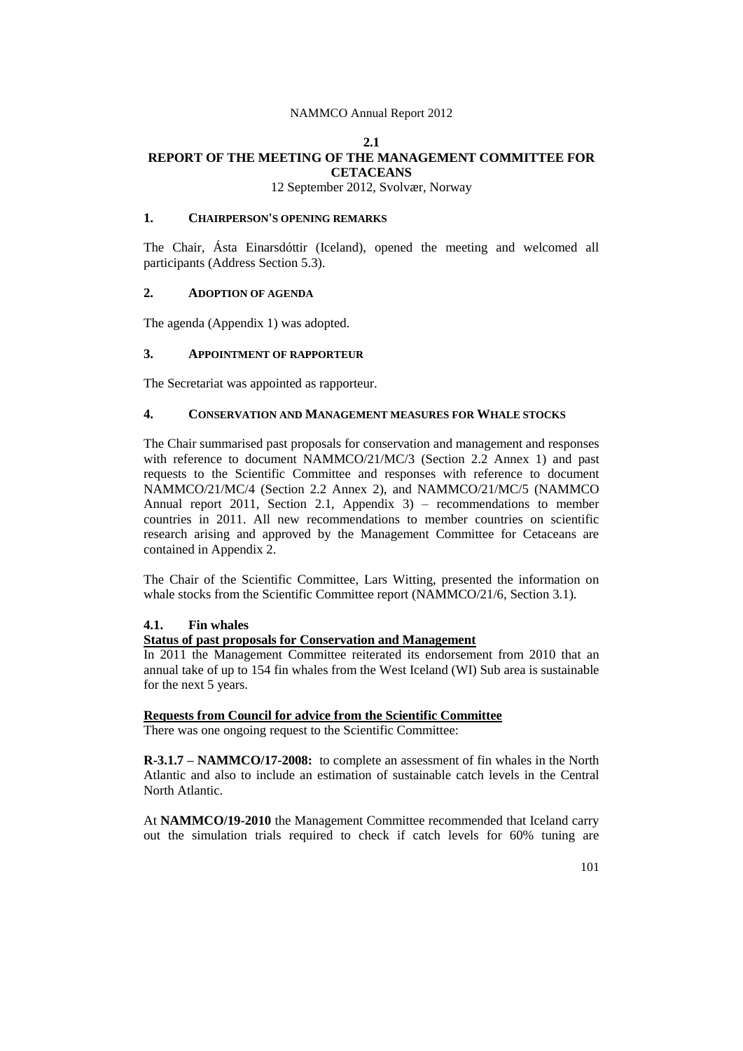# **2.1 REPORT OF THE MEETING OF THE MANAGEMENT COMMITTEE FOR CETACEANS**

12 September 2012, Svolvær, Norway

# **1. CHAIRPERSON'S OPENING REMARKS**

The Chair, Ásta Einarsdóttir (Iceland), opened the meeting and welcomed all participants (Address Section 5.3).

# **2. ADOPTION OF AGENDA**

The agenda (Appendix 1) was adopted.

## **3. APPOINTMENT OF RAPPORTEUR**

The Secretariat was appointed as rapporteur.

## **4. CONSERVATION AND MANAGEMENT MEASURES FOR WHALE STOCKS**

The Chair summarised past proposals for conservation and management and responses with reference to document NAMMCO/21/MC/3 (Section 2.2 Annex 1) and past requests to the Scientific Committee and responses with reference to document NAMMCO/21/MC/4 (Section 2.2 Annex 2), and NAMMCO/21/MC/5 (NAMMCO Annual report 2011, Section 2.1, Appendix 3) – recommendations to member countries in 2011. All new recommendations to member countries on scientific research arising and approved by the Management Committee for Cetaceans are contained in Appendix 2.

The Chair of the Scientific Committee, Lars Witting, presented the information on whale stocks from the Scientific Committee report (NAMMCO/21/6, Section 3.1).

### **4.1. Fin whales**

#### **Status of past proposals for Conservation and Management**

In 2011 the Management Committee reiterated its endorsement from 2010 that an annual take of up to 154 fin whales from the West Iceland (WI) Sub area is sustainable for the next 5 years.

#### **Requests from Council for advice from the Scientific Committee**

There was one ongoing request to the Scientific Committee:

**R-3.1.7 – NAMMCO/17-2008:** to complete an assessment of fin whales in the North Atlantic and also to include an estimation of sustainable catch levels in the Central North Atlantic.

At **NAMMCO/19-2010** the Management Committee recommended that Iceland carry out the simulation trials required to check if catch levels for 60% tuning are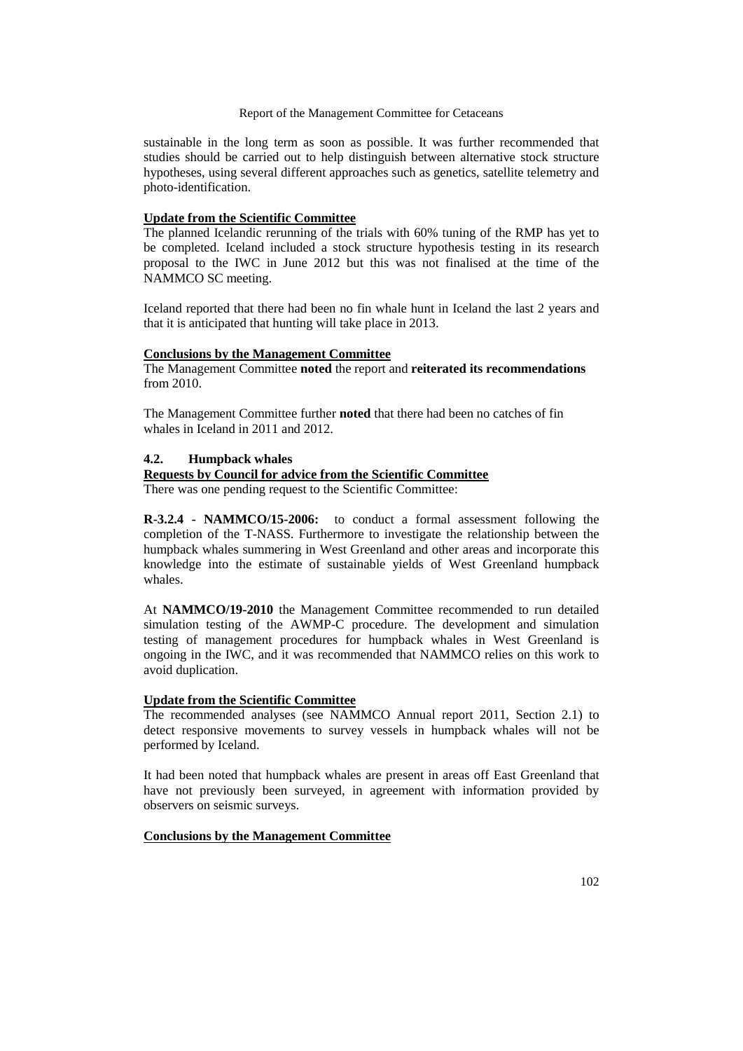sustainable in the long term as soon as possible. It was further recommended that studies should be carried out to help distinguish between alternative stock structure hypotheses, using several different approaches such as genetics, satellite telemetry and photo-identification.

# **Update from the Scientific Committee**

The planned Icelandic rerunning of the trials with 60% tuning of the RMP has yet to be completed. Iceland included a stock structure hypothesis testing in its research proposal to the IWC in June 2012 but this was not finalised at the time of the NAMMCO SC meeting.

Iceland reported that there had been no fin whale hunt in Iceland the last 2 years and that it is anticipated that hunting will take place in 2013.

### **Conclusions by the Management Committee**

The Management Committee **noted** the report and **reiterated its recommendations** from 2010.

The Management Committee further **noted** that there had been no catches of fin whales in Iceland in 2011 and 2012.

### **4.2. Humpback whales**

# **Requests by Council for advice from the Scientific Committee**

There was one pending request to the Scientific Committee:

**R-3.2.4 - NAMMCO/15-2006:** to conduct a formal assessment following the completion of the T-NASS. Furthermore to investigate the relationship between the humpback whales summering in West Greenland and other areas and incorporate this knowledge into the estimate of sustainable yields of West Greenland humpback whales.

At **NAMMCO/19-2010** the Management Committee recommended to run detailed simulation testing of the AWMP-C procedure. The development and simulation testing of management procedures for humpback whales in West Greenland is ongoing in the IWC, and it was recommended that NAMMCO relies on this work to avoid duplication.

#### **Update from the Scientific Committee**

The recommended analyses (see NAMMCO Annual report 2011, Section 2.1) to detect responsive movements to survey vessels in humpback whales will not be performed by Iceland.

It had been noted that humpback whales are present in areas off East Greenland that have not previously been surveyed, in agreement with information provided by observers on seismic surveys.

#### **Conclusions by the Management Committee**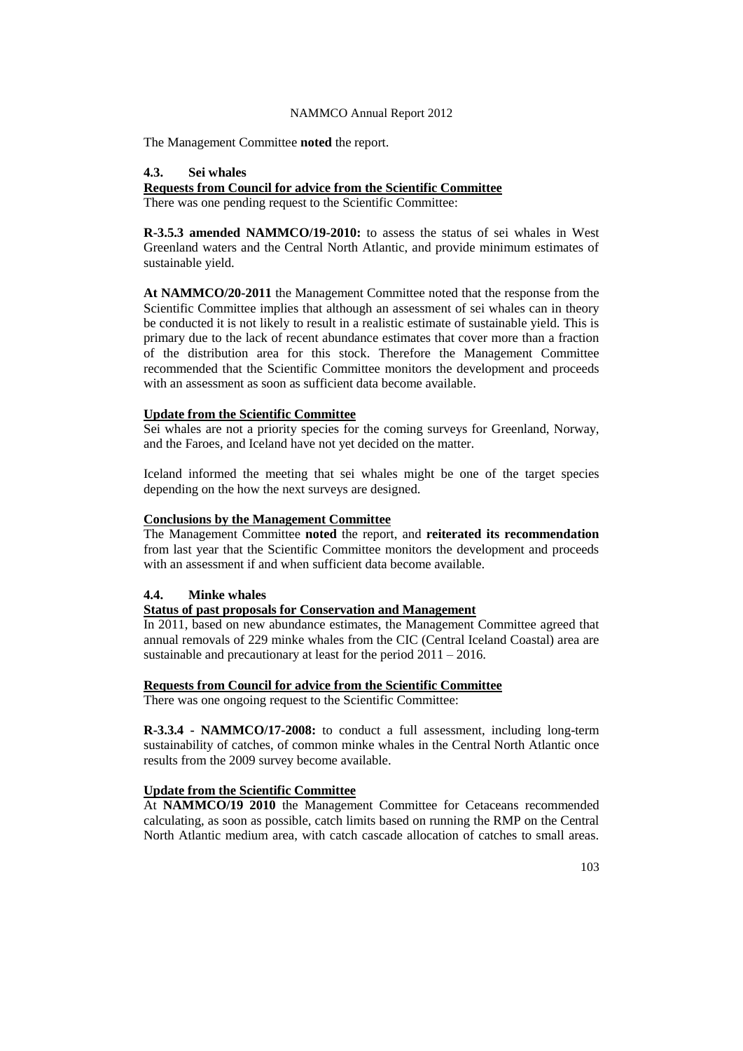The Management Committee **noted** the report.

#### **4.3. Sei whales**

## **Requests from Council for advice from the Scientific Committee**

There was one pending request to the Scientific Committee:

**R-3.5.3 amended NAMMCO/19-2010:** to assess the status of sei whales in West Greenland waters and the Central North Atlantic, and provide minimum estimates of sustainable yield.

**At NAMMCO/20-2011** the Management Committee noted that the response from the Scientific Committee implies that although an assessment of sei whales can in theory be conducted it is not likely to result in a realistic estimate of sustainable yield. This is primary due to the lack of recent abundance estimates that cover more than a fraction of the distribution area for this stock. Therefore the Management Committee recommended that the Scientific Committee monitors the development and proceeds with an assessment as soon as sufficient data become available.

### **Update from the Scientific Committee**

Sei whales are not a priority species for the coming surveys for Greenland, Norway, and the Faroes, and Iceland have not yet decided on the matter.

Iceland informed the meeting that sei whales might be one of the target species depending on the how the next surveys are designed.

# **Conclusions by the Management Committee**

The Management Committee **noted** the report, and **reiterated its recommendation** from last year that the Scientific Committee monitors the development and proceeds with an assessment if and when sufficient data become available.

# **4.4. Minke whales**

#### **Status of past proposals for Conservation and Management**

In 2011, based on new abundance estimates, the Management Committee agreed that annual removals of 229 minke whales from the CIC (Central Iceland Coastal) area are sustainable and precautionary at least for the period  $2011 - 2016$ .

# **Requests from Council for advice from the Scientific Committee**

There was one ongoing request to the Scientific Committee:

**R-3.3.4 - NAMMCO/17-2008:** to conduct a full assessment, including long-term sustainability of catches, of common minke whales in the Central North Atlantic once results from the 2009 survey become available.

# **Update from the Scientific Committee**

At **NAMMCO/19 2010** the Management Committee for Cetaceans recommended calculating, as soon as possible, catch limits based on running the RMP on the Central North Atlantic medium area, with catch cascade allocation of catches to small areas.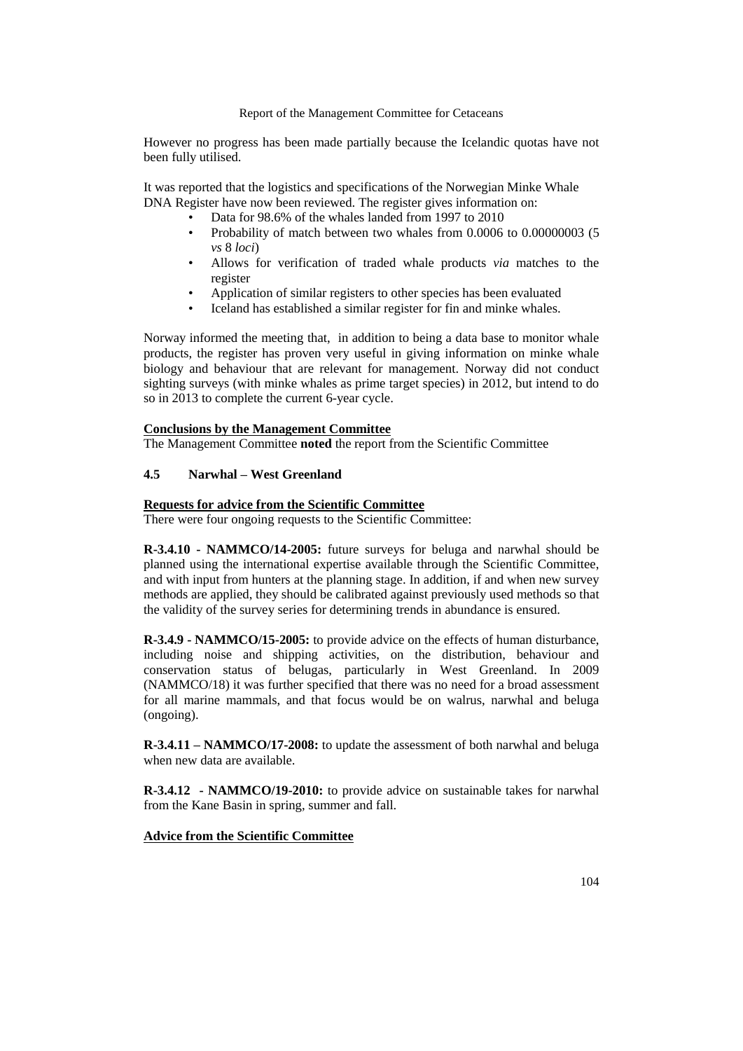However no progress has been made partially because the Icelandic quotas have not been fully utilised.

It was reported that the logistics and specifications of the Norwegian Minke Whale DNA Register have now been reviewed. The register gives information on:

- Data for 98.6% of the whales landed from 1997 to 2010
- Probability of match between two whales from 0.0006 to 0.00000003 (5 *vs* 8 *loci*)
- Allows for verification of traded whale products *via* matches to the register
- Application of similar registers to other species has been evaluated
- Iceland has established a similar register for fin and minke whales.

Norway informed the meeting that, in addition to being a data base to monitor whale products, the register has proven very useful in giving information on minke whale biology and behaviour that are relevant for management. Norway did not conduct sighting surveys (with minke whales as prime target species) in 2012, but intend to do so in 2013 to complete the current 6-year cycle.

#### **Conclusions by the Management Committee**

The Management Committee **noted** the report from the Scientific Committee

# **4.5 Narwhal – West Greenland**

# **Requests for advice from the Scientific Committee**

There were four ongoing requests to the Scientific Committee:

**R-3.4.10 - NAMMCO/14-2005:** future surveys for beluga and narwhal should be planned using the international expertise available through the Scientific Committee, and with input from hunters at the planning stage. In addition, if and when new survey methods are applied, they should be calibrated against previously used methods so that the validity of the survey series for determining trends in abundance is ensured.

**R-3.4.9 - NAMMCO/15-2005:** to provide advice on the effects of human disturbance, including noise and shipping activities, on the distribution, behaviour and conservation status of belugas, particularly in West Greenland. In 2009 (NAMMCO/18) it was further specified that there was no need for a broad assessment for all marine mammals, and that focus would be on walrus, narwhal and beluga (ongoing).

**R-3.4.11 – NAMMCO/17-2008:** to update the assessment of both narwhal and beluga when new data are available.

**R-3.4.12 - NAMMCO/19-2010:** to provide advice on sustainable takes for narwhal from the Kane Basin in spring, summer and fall.

#### **Advice from the Scientific Committee**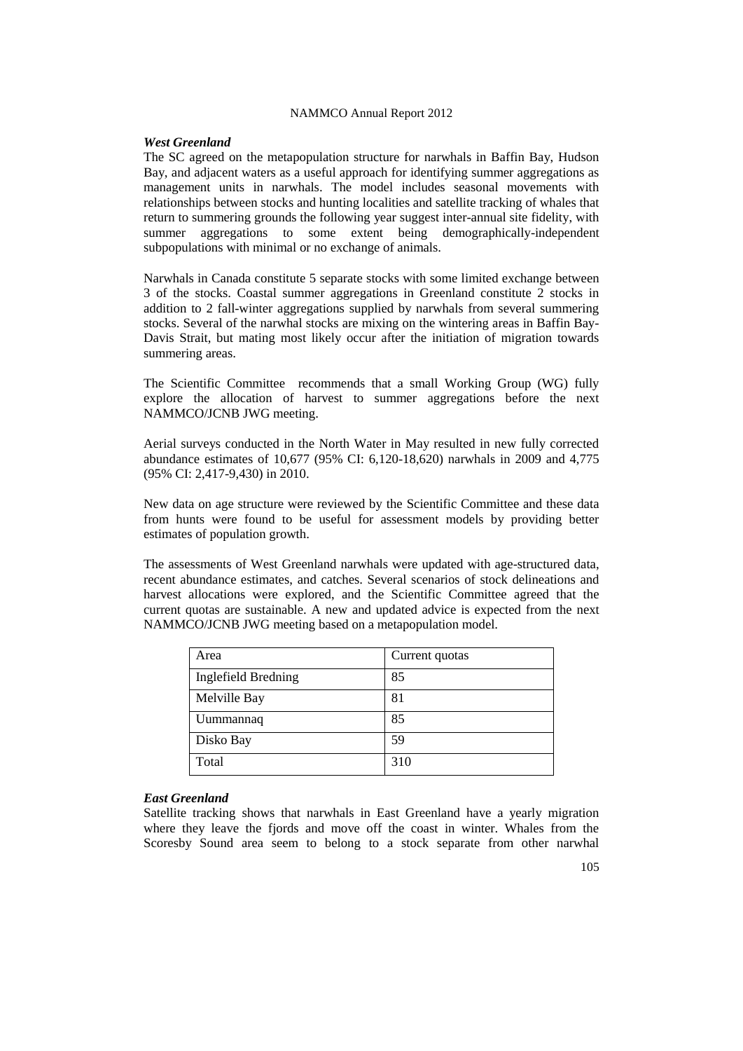#### *West Greenland*

The SC agreed on the metapopulation structure for narwhals in Baffin Bay, Hudson Bay, and adjacent waters as a useful approach for identifying summer aggregations as management units in narwhals. The model includes seasonal movements with relationships between stocks and hunting localities and satellite tracking of whales that return to summering grounds the following year suggest inter-annual site fidelity, with summer aggregations to some extent being demographically-independent subpopulations with minimal or no exchange of animals.

Narwhals in Canada constitute 5 separate stocks with some limited exchange between 3 of the stocks. Coastal summer aggregations in Greenland constitute 2 stocks in addition to 2 fall-winter aggregations supplied by narwhals from several summering stocks. Several of the narwhal stocks are mixing on the wintering areas in Baffin Bay-Davis Strait, but mating most likely occur after the initiation of migration towards summering areas.

The Scientific Committee recommends that a small Working Group (WG) fully explore the allocation of harvest to summer aggregations before the next NAMMCO/JCNB JWG meeting.

Aerial surveys conducted in the North Water in May resulted in new fully corrected abundance estimates of 10,677 (95% CI: 6,120-18,620) narwhals in 2009 and 4,775 (95% CI: 2,417-9,430) in 2010.

New data on age structure were reviewed by the Scientific Committee and these data from hunts were found to be useful for assessment models by providing better estimates of population growth.

The assessments of West Greenland narwhals were updated with age-structured data, recent abundance estimates, and catches. Several scenarios of stock delineations and harvest allocations were explored, and the Scientific Committee agreed that the current quotas are sustainable. A new and updated advice is expected from the next NAMMCO/JCNB JWG meeting based on a metapopulation model.

| Area                       | Current quotas |
|----------------------------|----------------|
| <b>Inglefield Bredning</b> | 85             |
| Melville Bay               | 81             |
| Uummannaq                  | 85             |
| Disko Bay                  | 59             |
| Total                      | 310            |

# *East Greenland*

Satellite tracking shows that narwhals in East Greenland have a yearly migration where they leave the fjords and move off the coast in winter. Whales from the Scoresby Sound area seem to belong to a stock separate from other narwhal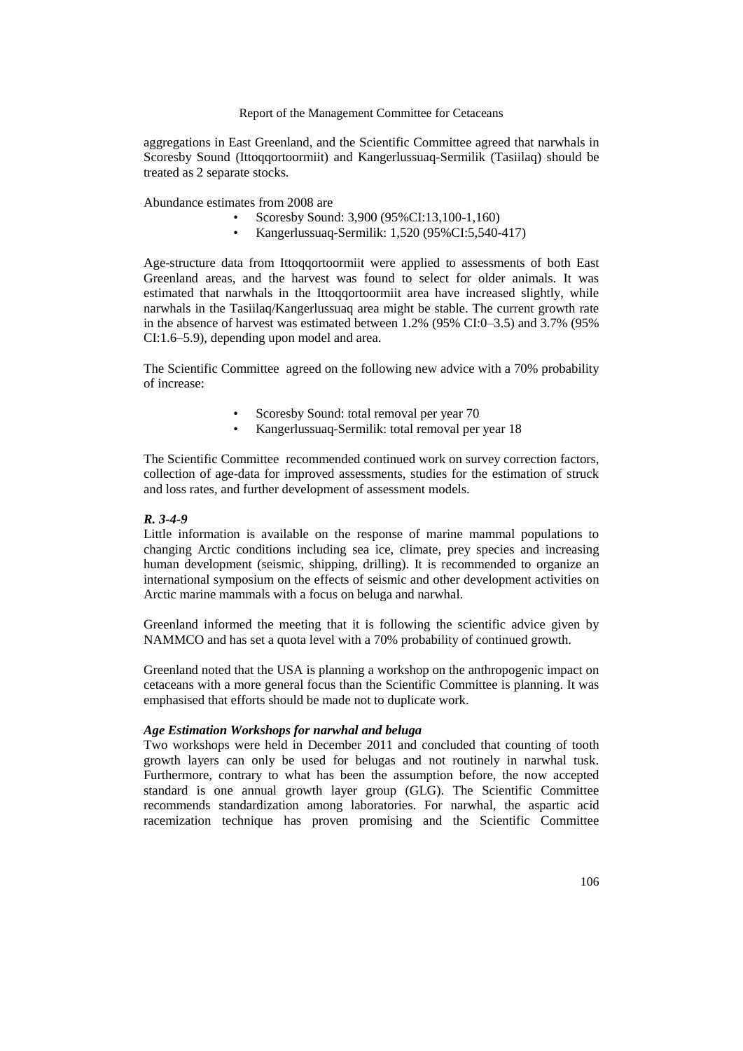aggregations in East Greenland, and the Scientific Committee agreed that narwhals in Scoresby Sound (Ittoqqortoormiit) and Kangerlussuaq-Sermilik (Tasiilaq) should be treated as 2 separate stocks.

Abundance estimates from 2008 are

- Scoresby Sound: 3,900 (95%CI:13,100-1,160)
- Kangerlussuaq-Sermilik: 1,520 (95%CI:5,540-417)

Age-structure data from Ittoqqortoormiit were applied to assessments of both East Greenland areas, and the harvest was found to select for older animals. It was estimated that narwhals in the Ittoqqortoormiit area have increased slightly, while narwhals in the Tasiilaq/Kangerlussuaq area might be stable. The current growth rate in the absence of harvest was estimated between 1.2% (95% CI:0–3.5) and 3.7% (95% CI:1.6–5.9), depending upon model and area.

The Scientific Committee agreed on the following new advice with a 70% probability of increase:

- Scoresby Sound: total removal per year 70
- Kangerlussuaq-Sermilik: total removal per year 18

The Scientific Committee recommended continued work on survey correction factors, collection of age-data for improved assessments, studies for the estimation of struck and loss rates, and further development of assessment models.

# *R. 3-4-9*

Little information is available on the response of marine mammal populations to changing Arctic conditions including sea ice, climate, prey species and increasing human development (seismic, shipping, drilling). It is recommended to organize an international symposium on the effects of seismic and other development activities on Arctic marine mammals with a focus on beluga and narwhal.

Greenland informed the meeting that it is following the scientific advice given by NAMMCO and has set a quota level with a 70% probability of continued growth.

Greenland noted that the USA is planning a workshop on the anthropogenic impact on cetaceans with a more general focus than the Scientific Committee is planning. It was emphasised that efforts should be made not to duplicate work.

# *Age Estimation Workshops for narwhal and beluga*

Two workshops were held in December 2011 and concluded that counting of tooth growth layers can only be used for belugas and not routinely in narwhal tusk. Furthermore, contrary to what has been the assumption before, the now accepted standard is one annual growth layer group (GLG). The Scientific Committee recommends standardization among laboratories. For narwhal, the aspartic acid racemization technique has proven promising and the Scientific Committee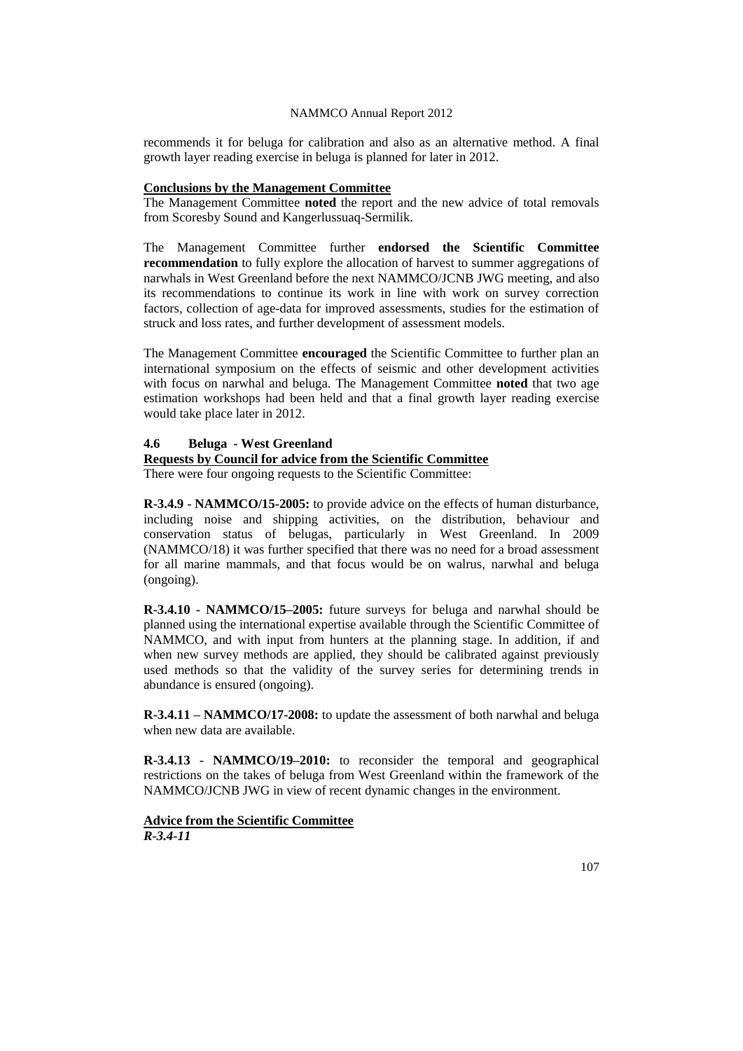recommends it for beluga for calibration and also as an alternative method. A final growth layer reading exercise in beluga is planned for later in 2012.

## **Conclusions by the Management Committee**

The Management Committee **noted** the report and the new advice of total removals from Scoresby Sound and Kangerlussuaq-Sermilik.

The Management Committee further **endorsed the Scientific Committee recommendation** to fully explore the allocation of harvest to summer aggregations of narwhals in West Greenland before the next NAMMCO/JCNB JWG meeting, and also its recommendations to continue its work in line with work on survey correction factors, collection of age-data for improved assessments, studies for the estimation of struck and loss rates, and further development of assessment models.

The Management Committee **encouraged** the Scientific Committee to further plan an international symposium on the effects of seismic and other development activities with focus on narwhal and beluga. The Management Committee **noted** that two age estimation workshops had been held and that a final growth layer reading exercise would take place later in 2012.

# **4.6 Beluga - West Greenland**

**Requests by Council for advice from the Scientific Committee**

There were four ongoing requests to the Scientific Committee:

**R-3.4.9 - NAMMCO/15-2005:** to provide advice on the effects of human disturbance, including noise and shipping activities, on the distribution, behaviour and conservation status of belugas, particularly in West Greenland. In 2009 (NAMMCO/18) it was further specified that there was no need for a broad assessment for all marine mammals, and that focus would be on walrus, narwhal and beluga (ongoing).

**R-3.4.10 - NAMMCO/15–2005:** future surveys for beluga and narwhal should be planned using the international expertise available through the Scientific Committee of NAMMCO, and with input from hunters at the planning stage. In addition, if and when new survey methods are applied, they should be calibrated against previously used methods so that the validity of the survey series for determining trends in abundance is ensured (ongoing).

**R-3.4.11 – NAMMCO/17-2008:** to update the assessment of both narwhal and beluga when new data are available.

**R-3.4.13 - NAMMCO/19–2010:** to reconsider the temporal and geographical restrictions on the takes of beluga from West Greenland within the framework of the NAMMCO/JCNB JWG in view of recent dynamic changes in the environment.

**Advice from the Scientific Committee** *R-3.4-11*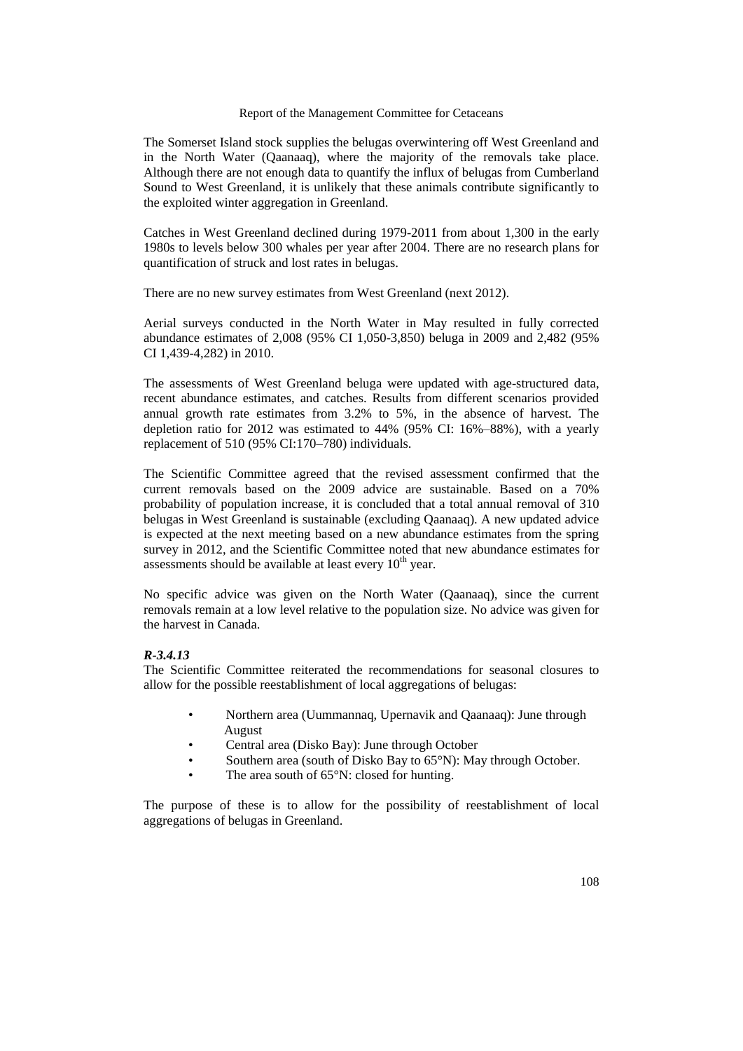The Somerset Island stock supplies the belugas overwintering off West Greenland and in the North Water (Qaanaaq), where the majority of the removals take place. Although there are not enough data to quantify the influx of belugas from Cumberland Sound to West Greenland, it is unlikely that these animals contribute significantly to the exploited winter aggregation in Greenland.

Catches in West Greenland declined during 1979-2011 from about 1,300 in the early 1980s to levels below 300 whales per year after 2004. There are no research plans for quantification of struck and lost rates in belugas.

There are no new survey estimates from West Greenland (next 2012).

Aerial surveys conducted in the North Water in May resulted in fully corrected abundance estimates of 2,008 (95% CI 1,050-3,850) beluga in 2009 and 2,482 (95% CI 1,439-4,282) in 2010.

The assessments of West Greenland beluga were updated with age-structured data, recent abundance estimates, and catches. Results from different scenarios provided annual growth rate estimates from 3.2% to 5%, in the absence of harvest. The depletion ratio for 2012 was estimated to 44% (95% CI: 16%–88%), with a yearly replacement of 510 (95% CI:170–780) individuals.

The Scientific Committee agreed that the revised assessment confirmed that the current removals based on the 2009 advice are sustainable. Based on a 70% probability of population increase, it is concluded that a total annual removal of 310 belugas in West Greenland is sustainable (excluding Qaanaaq). A new updated advice is expected at the next meeting based on a new abundance estimates from the spring survey in 2012, and the Scientific Committee noted that new abundance estimates for assessments should be available at least every  $10<sup>th</sup>$  year.

No specific advice was given on the North Water (Qaanaaq), since the current removals remain at a low level relative to the population size. No advice was given for the harvest in Canada.

#### *R-3.4.13*

The Scientific Committee reiterated the recommendations for seasonal closures to allow for the possible reestablishment of local aggregations of belugas:

- Northern area (Uummannaq, Upernavik and Qaanaaq): June through August
- Central area (Disko Bay): June through October
- Southern area (south of Disko Bay to 65°N): May through October.
- The area south of  $65^{\circ}$ N: closed for hunting.

The purpose of these is to allow for the possibility of reestablishment of local aggregations of belugas in Greenland.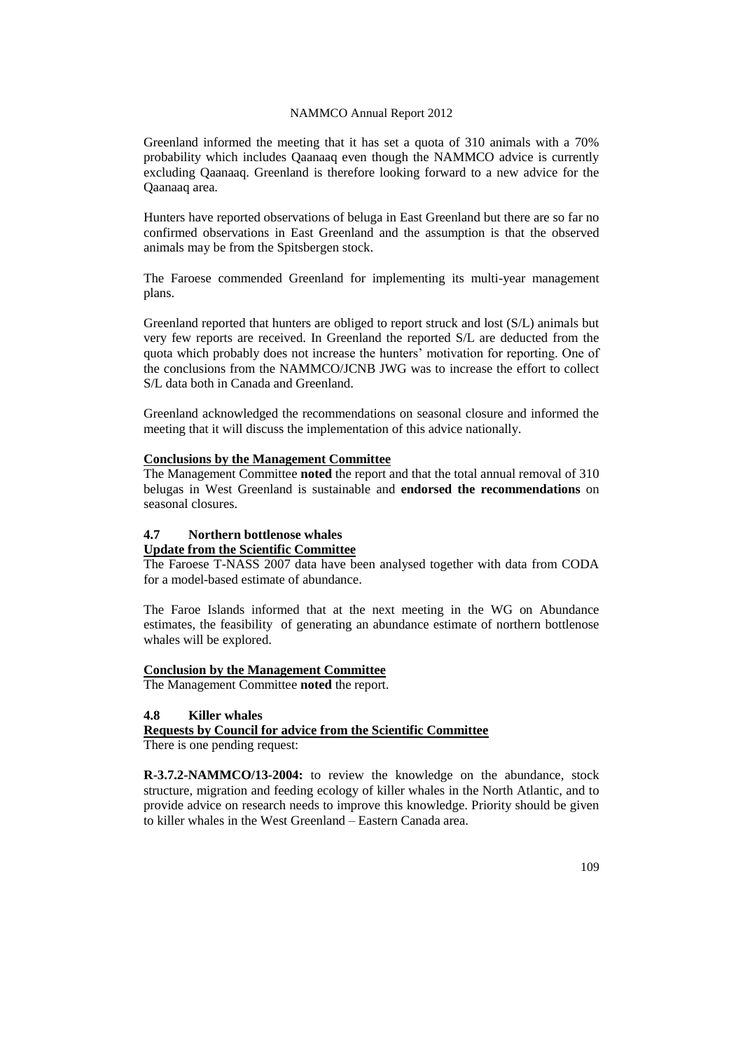Greenland informed the meeting that it has set a quota of 310 animals with a 70% probability which includes Qaanaaq even though the NAMMCO advice is currently excluding Qaanaaq. Greenland is therefore looking forward to a new advice for the Qaanaaq area.

Hunters have reported observations of beluga in East Greenland but there are so far no confirmed observations in East Greenland and the assumption is that the observed animals may be from the Spitsbergen stock.

The Faroese commended Greenland for implementing its multi-year management plans.

Greenland reported that hunters are obliged to report struck and lost (S/L) animals but very few reports are received. In Greenland the reported S/L are deducted from the quota which probably does not increase the hunters' motivation for reporting. One of the conclusions from the NAMMCO/JCNB JWG was to increase the effort to collect S/L data both in Canada and Greenland.

Greenland acknowledged the recommendations on seasonal closure and informed the meeting that it will discuss the implementation of this advice nationally.

## **Conclusions by the Management Committee**

The Management Committee **noted** the report and that the total annual removal of 310 belugas in West Greenland is sustainable and **endorsed the recommendations** on seasonal closures.

# **4.7 Northern bottlenose whales**

### **Update from the Scientific Committee**

The Faroese T-NASS 2007 data have been analysed together with data from CODA for a model-based estimate of abundance.

The Faroe Islands informed that at the next meeting in the WG on Abundance estimates, the feasibility of generating an abundance estimate of northern bottlenose whales will be explored.

#### **Conclusion by the Management Committee**

The Management Committee **noted** the report.

#### **4.8 Killer whales**

# **Requests by Council for advice from the Scientific Committee**

There is one pending request:

**R-3.7.2-NAMMCO/13-2004:** to review the knowledge on the abundance, stock structure, migration and feeding ecology of killer whales in the North Atlantic, and to provide advice on research needs to improve this knowledge. Priority should be given to killer whales in the West Greenland – Eastern Canada area.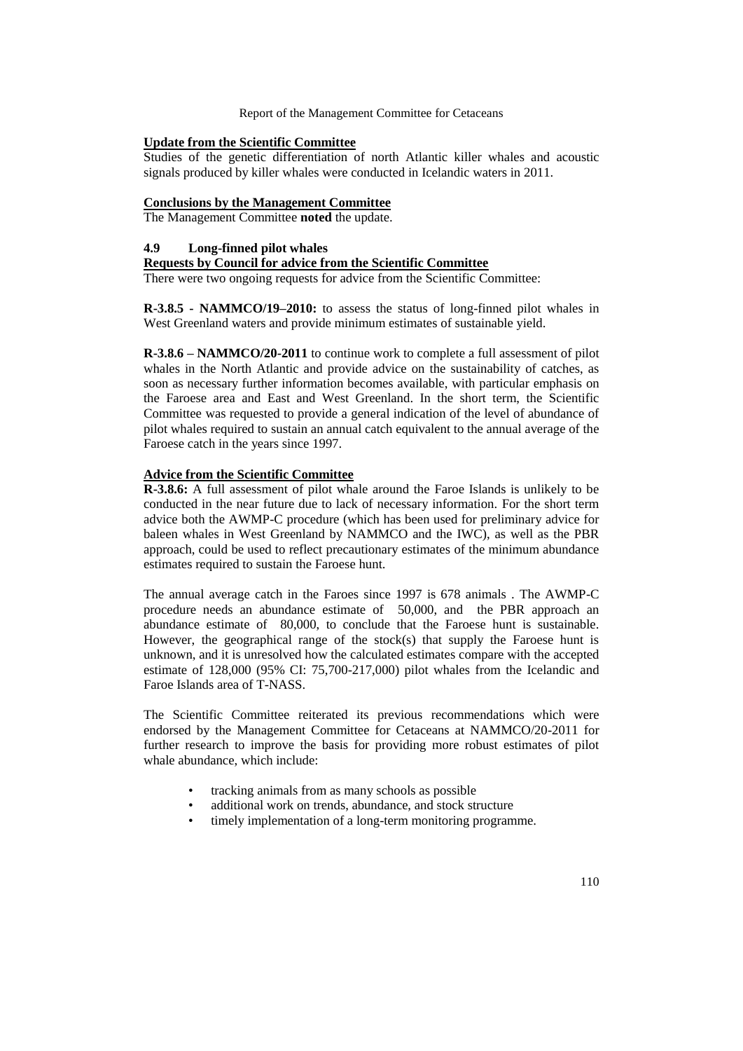# **Update from the Scientific Committee**

Studies of the genetic differentiation of north Atlantic killer whales and acoustic signals produced by killer whales were conducted in Icelandic waters in 2011.

# **Conclusions by the Management Committee**

The Management Committee **noted** the update.

# **4.9 Long-finned pilot whales**

### **Requests by Council for advice from the Scientific Committee**

There were two ongoing requests for advice from the Scientific Committee:

**R-3.8.5 - NAMMCO/19–2010:** to assess the status of long-finned pilot whales in West Greenland waters and provide minimum estimates of sustainable yield.

**R-3.8.6 – NAMMCO/20-2011** to continue work to complete a full assessment of pilot whales in the North Atlantic and provide advice on the sustainability of catches, as soon as necessary further information becomes available, with particular emphasis on the Faroese area and East and West Greenland. In the short term, the Scientific Committee was requested to provide a general indication of the level of abundance of pilot whales required to sustain an annual catch equivalent to the annual average of the Faroese catch in the years since 1997.

#### **Advice from the Scientific Committee**

**R-3.8.6:** A full assessment of pilot whale around the Faroe Islands is unlikely to be conducted in the near future due to lack of necessary information. For the short term advice both the AWMP-C procedure (which has been used for preliminary advice for baleen whales in West Greenland by NAMMCO and the IWC), as well as the PBR approach, could be used to reflect precautionary estimates of the minimum abundance estimates required to sustain the Faroese hunt.

The annual average catch in the Faroes since 1997 is 678 animals . The AWMP-C procedure needs an abundance estimate of 50,000, and the PBR approach an abundance estimate of 80,000, to conclude that the Faroese hunt is sustainable. However, the geographical range of the stock(s) that supply the Faroese hunt is unknown, and it is unresolved how the calculated estimates compare with the accepted estimate of 128,000 (95% CI: 75,700-217,000) pilot whales from the Icelandic and Faroe Islands area of T-NASS.

The Scientific Committee reiterated its previous recommendations which were endorsed by the Management Committee for Cetaceans at NAMMCO/20-2011 for further research to improve the basis for providing more robust estimates of pilot whale abundance, which include:

- tracking animals from as many schools as possible
- additional work on trends, abundance, and stock structure
- timely implementation of a long-term monitoring programme.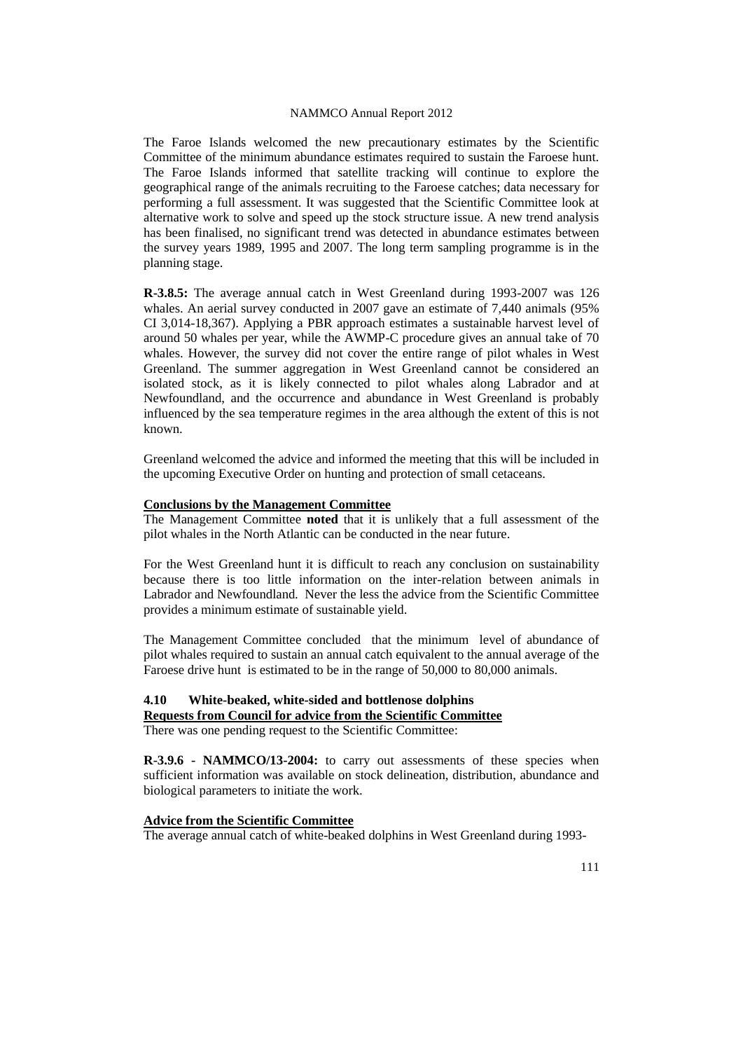The Faroe Islands welcomed the new precautionary estimates by the Scientific Committee of the minimum abundance estimates required to sustain the Faroese hunt. The Faroe Islands informed that satellite tracking will continue to explore the geographical range of the animals recruiting to the Faroese catches; data necessary for performing a full assessment. It was suggested that the Scientific Committee look at alternative work to solve and speed up the stock structure issue. A new trend analysis has been finalised, no significant trend was detected in abundance estimates between the survey years 1989, 1995 and 2007. The long term sampling programme is in the planning stage.

**R-3.8.5:** The average annual catch in West Greenland during 1993-2007 was 126 whales. An aerial survey conducted in 2007 gave an estimate of 7,440 animals (95% CI 3,014-18,367). Applying a PBR approach estimates a sustainable harvest level of around 50 whales per year, while the AWMP-C procedure gives an annual take of 70 whales. However, the survey did not cover the entire range of pilot whales in West Greenland. The summer aggregation in West Greenland cannot be considered an isolated stock, as it is likely connected to pilot whales along Labrador and at Newfoundland, and the occurrence and abundance in West Greenland is probably influenced by the sea temperature regimes in the area although the extent of this is not known.

Greenland welcomed the advice and informed the meeting that this will be included in the upcoming Executive Order on hunting and protection of small cetaceans.

#### **Conclusions by the Management Committee**

The Management Committee **noted** that it is unlikely that a full assessment of the pilot whales in the North Atlantic can be conducted in the near future.

For the West Greenland hunt it is difficult to reach any conclusion on sustainability because there is too little information on the inter-relation between animals in Labrador and Newfoundland. Never the less the advice from the Scientific Committee provides a minimum estimate of sustainable yield.

The Management Committee concluded that the minimum level of abundance of pilot whales required to sustain an annual catch equivalent to the annual average of the Faroese drive hunt is estimated to be in the range of 50,000 to 80,000 animals.

# **4.10 White-beaked, white-sided and bottlenose dolphins**

# **Requests from Council for advice from the Scientific Committee**

There was one pending request to the Scientific Committee:

**R-3.9.6 - NAMMCO/13-2004:** to carry out assessments of these species when sufficient information was available on stock delineation, distribution, abundance and biological parameters to initiate the work.

# **Advice from the Scientific Committee**

The average annual catch of white-beaked dolphins in West Greenland during 1993-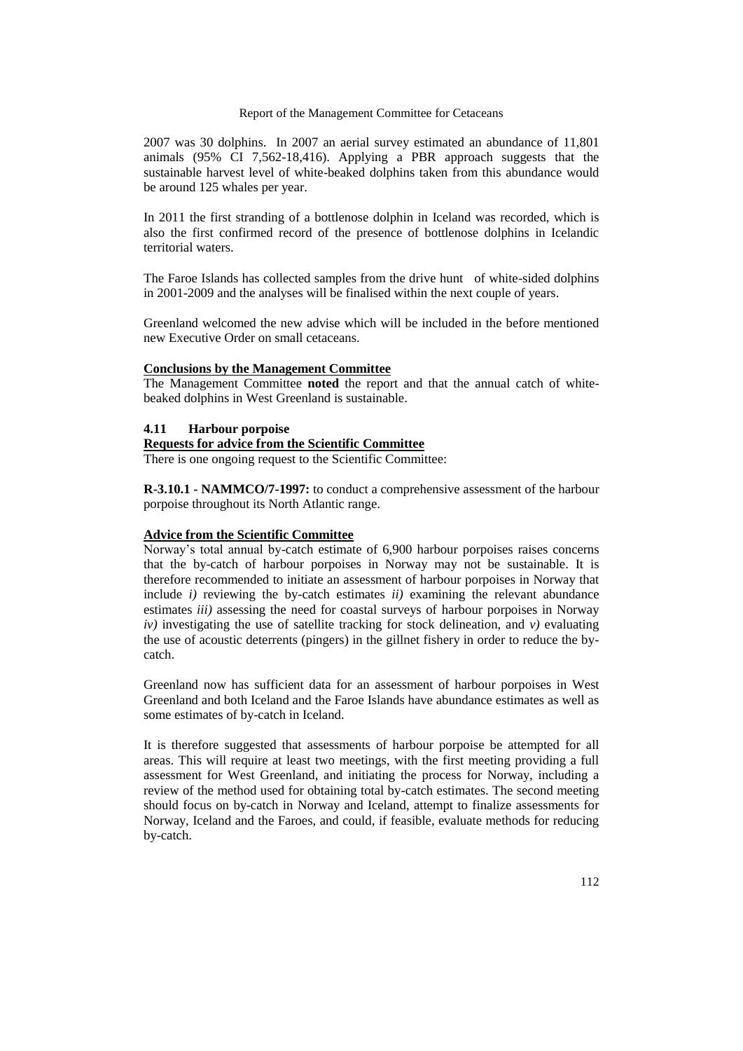2007 was 30 dolphins. In 2007 an aerial survey estimated an abundance of 11,801 animals (95% CI 7,562-18,416). Applying a PBR approach suggests that the sustainable harvest level of white-beaked dolphins taken from this abundance would be around 125 whales per year.

In 2011 the first stranding of a bottlenose dolphin in Iceland was recorded, which is also the first confirmed record of the presence of bottlenose dolphins in Icelandic territorial waters.

The Faroe Islands has collected samples from the drive hunt of white-sided dolphins in 2001-2009 and the analyses will be finalised within the next couple of years.

Greenland welcomed the new advise which will be included in the before mentioned new Executive Order on small cetaceans.

#### **Conclusions by the Management Committee**

The Management Committee **noted** the report and that the annual catch of whitebeaked dolphins in West Greenland is sustainable.

#### **4.11 Harbour porpoise**

# **Requests for advice from the Scientific Committee**

There is one ongoing request to the Scientific Committee:

**R-3.10.1 - NAMMCO/7-1997:** to conduct a comprehensive assessment of the harbour porpoise throughout its North Atlantic range.

#### **Advice from the Scientific Committee**

Norway's total annual by-catch estimate of 6,900 harbour porpoises raises concerns that the by-catch of harbour porpoises in Norway may not be sustainable. It is therefore recommended to initiate an assessment of harbour porpoises in Norway that include *i)* reviewing the by-catch estimates *ii)* examining the relevant abundance estimates *iii)* assessing the need for coastal surveys of harbour porpoises in Norway *iv)* investigating the use of satellite tracking for stock delineation, and *v)* evaluating the use of acoustic deterrents (pingers) in the gillnet fishery in order to reduce the bycatch.

Greenland now has sufficient data for an assessment of harbour porpoises in West Greenland and both Iceland and the Faroe Islands have abundance estimates as well as some estimates of by-catch in Iceland.

It is therefore suggested that assessments of harbour porpoise be attempted for all areas. This will require at least two meetings, with the first meeting providing a full assessment for West Greenland, and initiating the process for Norway, including a review of the method used for obtaining total by-catch estimates. The second meeting should focus on by-catch in Norway and Iceland, attempt to finalize assessments for Norway, Iceland and the Faroes, and could, if feasible, evaluate methods for reducing by-catch.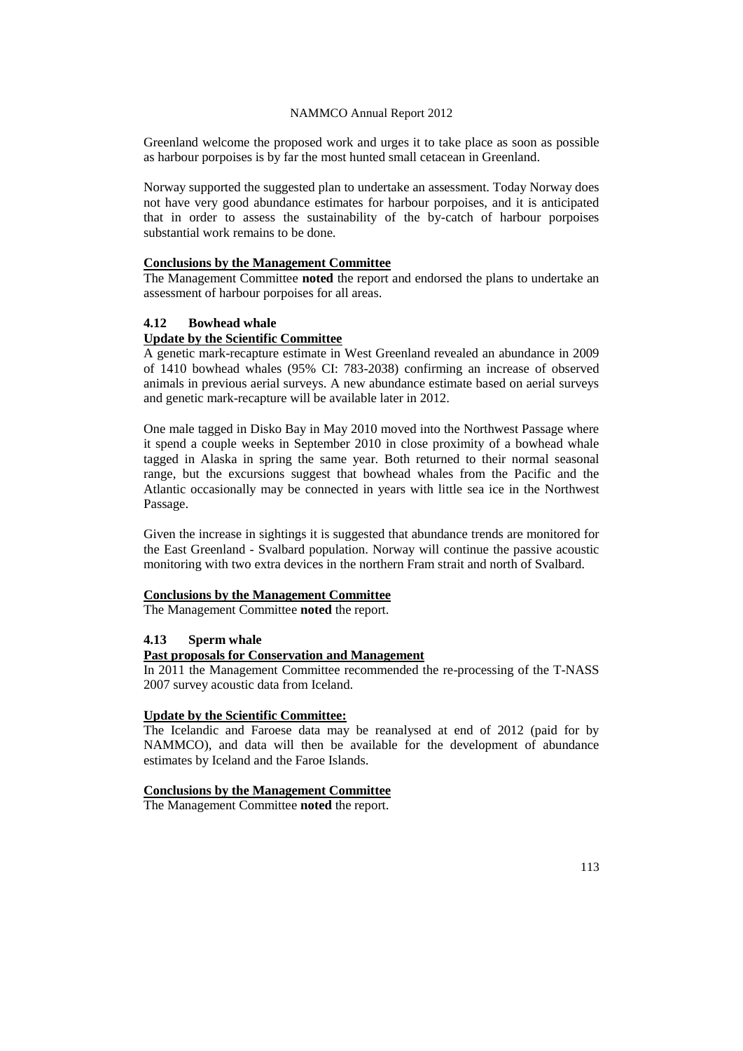Greenland welcome the proposed work and urges it to take place as soon as possible as harbour porpoises is by far the most hunted small cetacean in Greenland.

Norway supported the suggested plan to undertake an assessment. Today Norway does not have very good abundance estimates for harbour porpoises, and it is anticipated that in order to assess the sustainability of the by-catch of harbour porpoises substantial work remains to be done.

### **Conclusions by the Management Committee**

The Management Committee **noted** the report and endorsed the plans to undertake an assessment of harbour porpoises for all areas.

# **4.12 Bowhead whale**

# **Update by the Scientific Committee**

A genetic mark-recapture estimate in West Greenland revealed an abundance in 2009 of 1410 bowhead whales (95% CI: 783-2038) confirming an increase of observed animals in previous aerial surveys. A new abundance estimate based on aerial surveys and genetic mark-recapture will be available later in 2012.

One male tagged in Disko Bay in May 2010 moved into the Northwest Passage where it spend a couple weeks in September 2010 in close proximity of a bowhead whale tagged in Alaska in spring the same year. Both returned to their normal seasonal range, but the excursions suggest that bowhead whales from the Pacific and the Atlantic occasionally may be connected in years with little sea ice in the Northwest Passage.

Given the increase in sightings it is suggested that abundance trends are monitored for the East Greenland - Svalbard population. Norway will continue the passive acoustic monitoring with two extra devices in the northern Fram strait and north of Svalbard.

# **Conclusions by the Management Committee**

The Management Committee **noted** the report.

### **4.13 Sperm whale**

# **Past proposals for Conservation and Management**

In 2011 the Management Committee recommended the re-processing of the T-NASS 2007 survey acoustic data from Iceland.

## **Update by the Scientific Committee:**

The Icelandic and Faroese data may be reanalysed at end of 2012 (paid for by NAMMCO), and data will then be available for the development of abundance estimates by Iceland and the Faroe Islands.

#### **Conclusions by the Management Committee**

The Management Committee **noted** the report.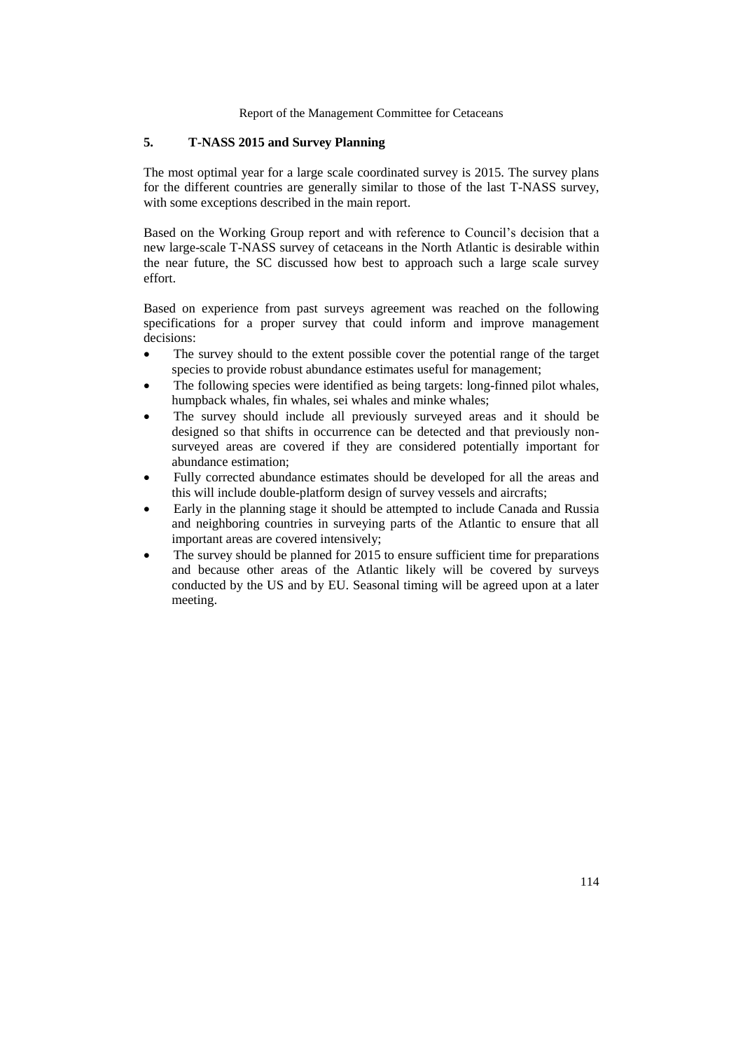# **5. T-NASS 2015 and Survey Planning**

The most optimal year for a large scale coordinated survey is 2015. The survey plans for the different countries are generally similar to those of the last T-NASS survey, with some exceptions described in the main report.

Based on the Working Group report and with reference to Council's decision that a new large-scale T-NASS survey of cetaceans in the North Atlantic is desirable within the near future, the SC discussed how best to approach such a large scale survey effort.

Based on experience from past surveys agreement was reached on the following specifications for a proper survey that could inform and improve management decisions:

- The survey should to the extent possible cover the potential range of the target species to provide robust abundance estimates useful for management;
- The following species were identified as being targets: long-finned pilot whales, humpback whales, fin whales, sei whales and minke whales;
- The survey should include all previously surveyed areas and it should be designed so that shifts in occurrence can be detected and that previously nonsurveyed areas are covered if they are considered potentially important for abundance estimation;
- Fully corrected abundance estimates should be developed for all the areas and this will include double-platform design of survey vessels and aircrafts;
- Early in the planning stage it should be attempted to include Canada and Russia and neighboring countries in surveying parts of the Atlantic to ensure that all important areas are covered intensively;
- The survey should be planned for 2015 to ensure sufficient time for preparations and because other areas of the Atlantic likely will be covered by surveys conducted by the US and by EU. Seasonal timing will be agreed upon at a later meeting.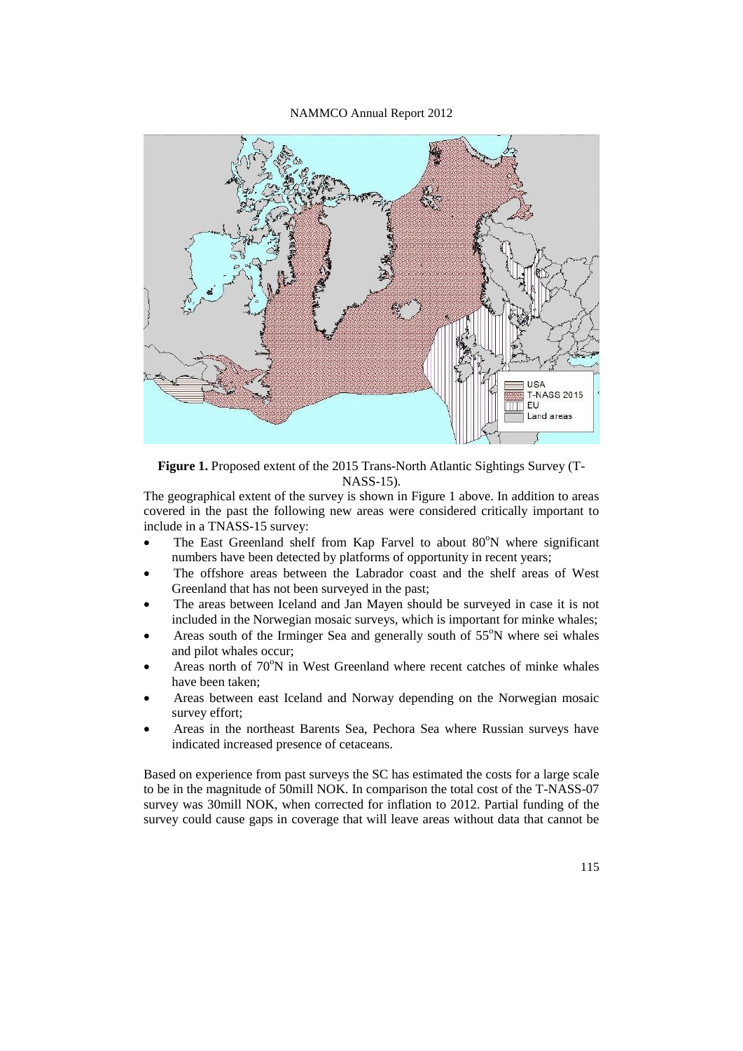

**Figure 1.** Proposed extent of the 2015 Trans-North Atlantic Sightings Survey (T-NASS-15).

The geographical extent of the survey is shown in Figure 1 above. In addition to areas covered in the past the following new areas were considered critically important to include in a TNASS-15 survey:

- The East Greenland shelf from Kap Farvel to about  $80^{\circ}$ N where significant numbers have been detected by platforms of opportunity in recent years;
- The offshore areas between the Labrador coast and the shelf areas of West Greenland that has not been surveyed in the past;
- The areas between Iceland and Jan Mayen should be surveyed in case it is not included in the Norwegian mosaic surveys, which is important for minke whales;
- Areas south of the Irminger Sea and generally south of  $55^\circ$ N where sei whales and pilot whales occur;
- Areas north of  $70^{\circ}$ N in West Greenland where recent catches of minke whales have been taken;
- Areas between east Iceland and Norway depending on the Norwegian mosaic survey effort;
- Areas in the northeast Barents Sea, Pechora Sea where Russian surveys have indicated increased presence of cetaceans.

Based on experience from past surveys the SC has estimated the costs for a large scale to be in the magnitude of 50mill NOK. In comparison the total cost of the T-NASS-07 survey was 30mill NOK, when corrected for inflation to 2012. Partial funding of the survey could cause gaps in coverage that will leave areas without data that cannot be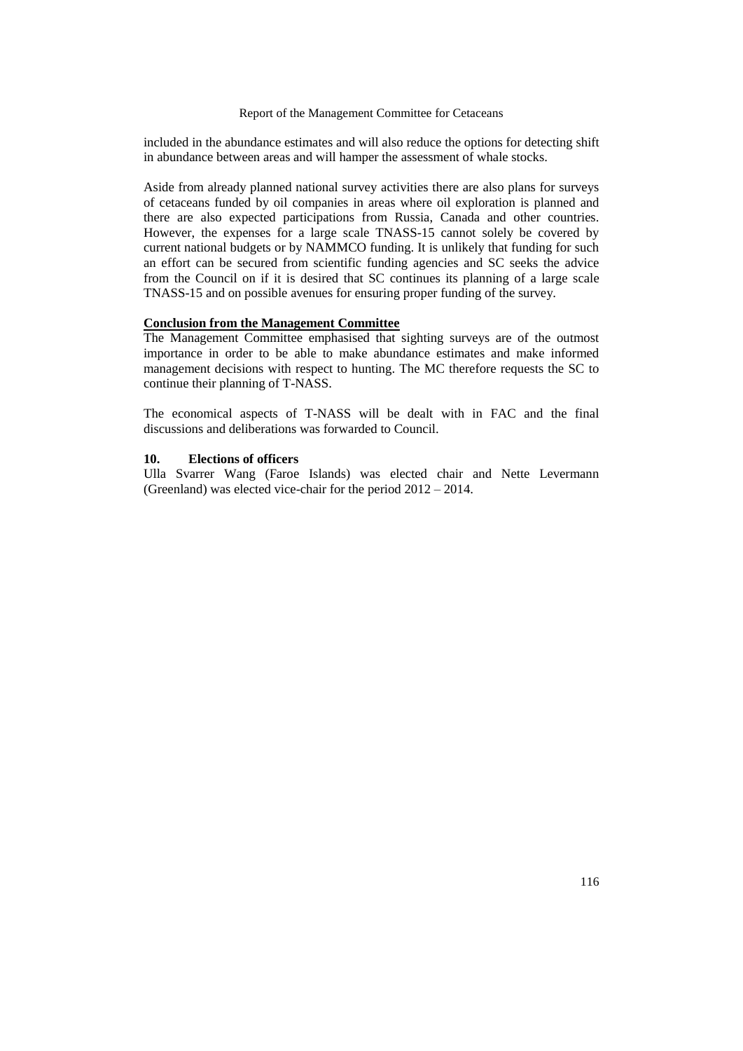included in the abundance estimates and will also reduce the options for detecting shift in abundance between areas and will hamper the assessment of whale stocks.

Aside from already planned national survey activities there are also plans for surveys of cetaceans funded by oil companies in areas where oil exploration is planned and there are also expected participations from Russia, Canada and other countries. However, the expenses for a large scale TNASS-15 cannot solely be covered by current national budgets or by NAMMCO funding. It is unlikely that funding for such an effort can be secured from scientific funding agencies and SC seeks the advice from the Council on if it is desired that SC continues its planning of a large scale TNASS-15 and on possible avenues for ensuring proper funding of the survey.

# **Conclusion from the Management Committee**

The Management Committee emphasised that sighting surveys are of the outmost importance in order to be able to make abundance estimates and make informed management decisions with respect to hunting. The MC therefore requests the SC to continue their planning of T-NASS.

The economical aspects of T-NASS will be dealt with in FAC and the final discussions and deliberations was forwarded to Council.

# **10. Elections of officers**

Ulla Svarrer Wang (Faroe Islands) was elected chair and Nette Levermann (Greenland) was elected vice-chair for the period 2012 – 2014.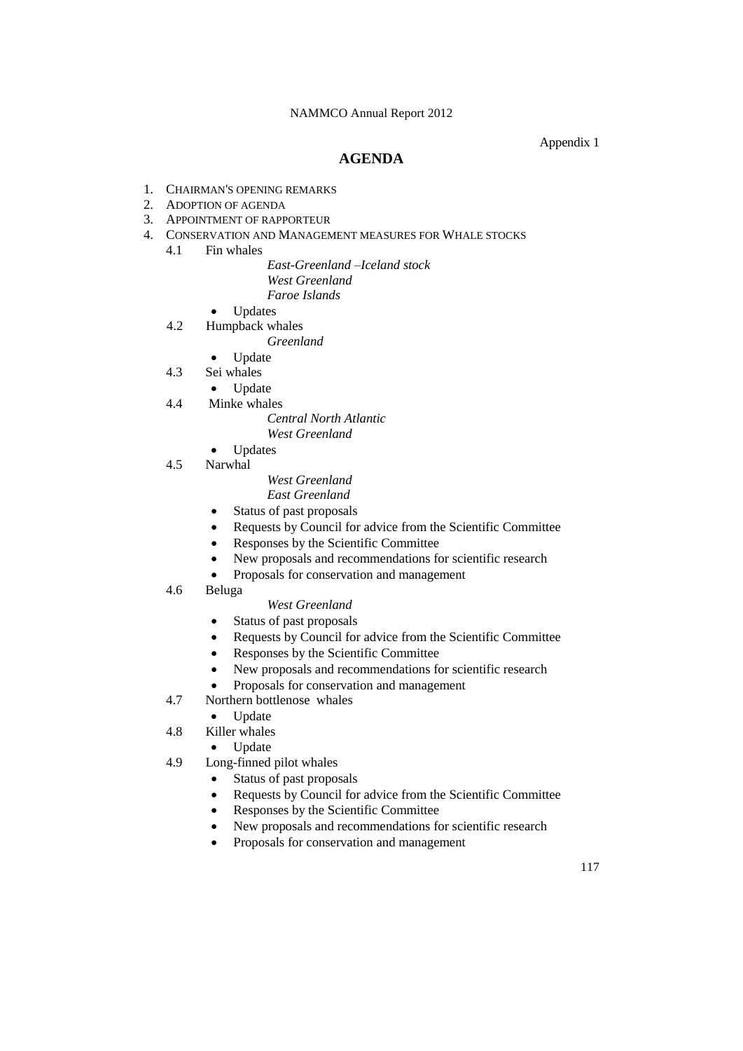### Appendix 1

# **AGENDA**

- 1. CHAIRMAN'S OPENING REMARKS
- 2. ADOPTION OF AGENDA
- 3. APPOINTMENT OF RAPPORTEUR
- 4. CONSERVATION AND MANAGEMENT MEASURES FOR WHALE STOCKS
	- 4.1 Fin whales

*East-Greenland –Iceland stock West Greenland Faroe Islands*

- Updates
- 4.2 Humpback whales
	- *Greenland*
	- Update
- 4.3 Sei whales
	- Update
- 4.4 Minke whales
	- *Central North Atlantic*
	- *West Greenland*
	- Updates
- 4.5 Narwhal
- *West Greenland East Greenland*
- Status of past proposals
- Requests by Council for advice from the Scientific Committee
- Responses by the Scientific Committee
- New proposals and recommendations for scientific research
- Proposals for conservation and management
- 4.6 Beluga

#### *West Greenland*

- Status of past proposals
- Requests by Council for advice from the Scientific Committee
- Responses by the Scientific Committee
- New proposals and recommendations for scientific research
- Proposals for conservation and management
- 4.7 Northern bottlenose whales
- Update
- 4.8 Killer whales
	- Update
- 4.9 Long-finned pilot whales
	- Status of past proposals
	- Requests by Council for advice from the Scientific Committee
	- Responses by the Scientific Committee
	- New proposals and recommendations for scientific research
	- Proposals for conservation and management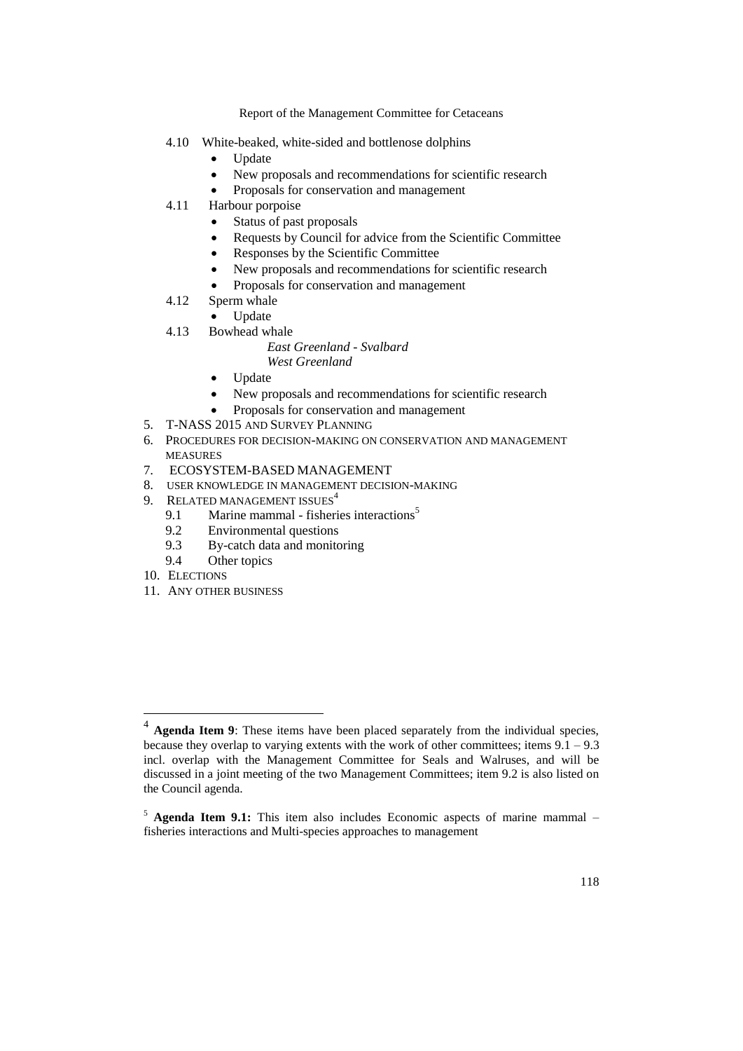- 4.10 White-beaked, white-sided and bottlenose dolphins
	- Update
	- New proposals and recommendations for scientific research
	- Proposals for conservation and management
- 4.11 Harbour porpoise
	- Status of past proposals
	- Requests by Council for advice from the Scientific Committee
	- Responses by the Scientific Committee
	- New proposals and recommendations for scientific research
	- Proposals for conservation and management
- 4.12 Sperm whale
	- Update
- 4.13 Bowhead whale

#### *East Greenland - Svalbard West Greenland*

- Update
- New proposals and recommendations for scientific research
- Proposals for conservation and management
- 5. T-NASS 2015 AND SURVEY PLANNING
- 6. PROCEDURES FOR DECISION-MAKING ON CONSERVATION AND MANAGEMENT MEASURES
- 7. ECOSYSTEM-BASED MANAGEMENT
- 8. USER KNOWLEDGE IN MANAGEMENT DECISION-MAKING
- 9. RELATED MANAGEMENT ISSUES<sup>4</sup>
	- 9.1 Marine mammal fisheries interactions<sup>5</sup>
		- 9.2 Environmental questions<br>9.3 By-catch data and monito
		- By-catch data and monitoring
	- 9.4 Other topics
- 10. ELECTIONS

<u>.</u>

11. ANY OTHER BUSINESS

<sup>&</sup>lt;sup>4</sup> Agenda Item 9: These items have been placed separately from the individual species, because they overlap to varying extents with the work of other committees; items  $9.1 - 9.3$ incl. overlap with the Management Committee for Seals and Walruses, and will be discussed in a joint meeting of the two Management Committees; item 9.2 is also listed on the Council agenda.

<sup>5</sup> **Agenda Item 9.1:** This item also includes Economic aspects of marine mammal – fisheries interactions and Multi-species approaches to management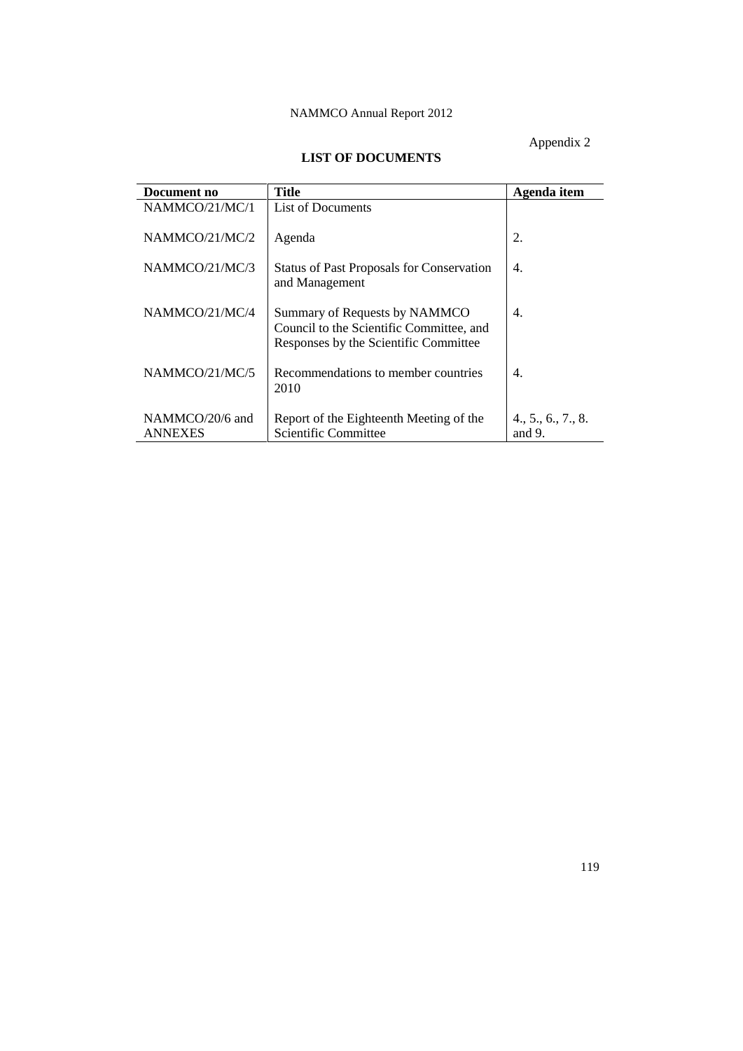Appendix 2

# **LIST OF DOCUMENTS**

| Document no                       | Title                                                                                                              | Agenda item                     |
|-----------------------------------|--------------------------------------------------------------------------------------------------------------------|---------------------------------|
| NAMMCO/21/MC/1                    | <b>List of Documents</b>                                                                                           |                                 |
| NAMMCO/21/MC/2                    | Agenda                                                                                                             | 2.                              |
| NAMMCO/21/MC/3                    | <b>Status of Past Proposals for Conservation</b><br>and Management                                                 | 4.                              |
| NAMMCO/21/MC/4                    | Summary of Requests by NAMMCO<br>Council to the Scientific Committee, and<br>Responses by the Scientific Committee | 4.                              |
| NAMMCO/21/MC/5                    | Recommendations to member countries<br>2010                                                                        | 4.                              |
| NAMMCO/20/6 and<br><b>ANNEXES</b> | Report of the Eighteenth Meeting of the<br>Scientific Committee                                                    | 4., 5., 6., 7., 8.<br>and $9$ . |